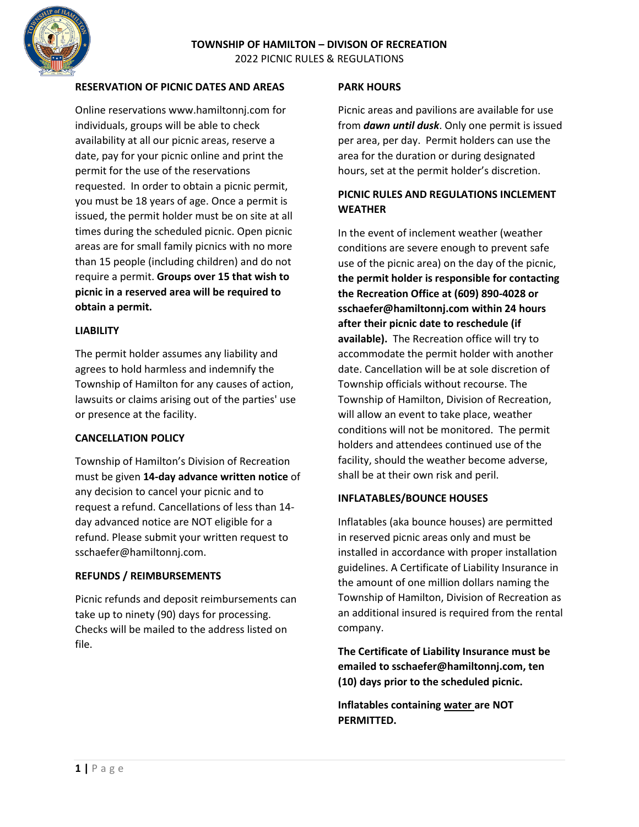

## **RESERVATION OF PICNIC DATES AND AREAS**

Online reservations www.hamiltonnj.com for individuals, groups will be able to check availability at all our picnic areas, reserve a date, pay for your picnic online and print the permit for the use of the reservations requested. In order to obtain a picnic permit, you must be 18 years of age. Once a permit is issued, the permit holder must be on site at all times during the scheduled picnic. Open picnic areas are for small family picnics with no more than 15 people (including children) and do not require a permit. **Groups over 15 that wish to picnic in a reserved area will be required to obtain a permit.** 

### **LIABILITY**

The permit holder assumes any liability and agrees to hold harmless and indemnify the Township of Hamilton for any causes of action, lawsuits or claims arising out of the parties' use or presence at the facility.

### **CANCELLATION POLICY**

Township of Hamilton's Division of Recreation must be given **14-day advance written notice** of any decision to cancel your picnic and to request a refund. Cancellations of less than 14 day advanced notice are NOT eligible for a refund. Please submit your written request to sschaefer@hamiltonnj.com.

### **REFUNDS / REIMBURSEMENTS**

Picnic refunds and deposit reimbursements can take up to ninety (90) days for processing. Checks will be mailed to the address listed on file.

#### **PARK HOURS**

Picnic areas and pavilions are available for use from *dawn until dusk*. Only one permit is issued per area, per day. Permit holders can use the area for the duration or during designated hours, set at the permit holder's discretion.

## **PICNIC RULES AND REGULATIONS INCLEMENT WEATHER**

In the event of inclement weather (weather conditions are severe enough to prevent safe use of the picnic area) on the day of the picnic, **the permit holder is responsible for contacting the Recreation Office at (609) 890-4028 or sschaefer@hamiltonnj.com within 24 hours after their picnic date to reschedule (if available).** The Recreation office will try to accommodate the permit holder with another date. Cancellation will be at sole discretion of Township officials without recourse. The Township of Hamilton, Division of Recreation, will allow an event to take place, weather conditions will not be monitored. The permit holders and attendees continued use of the facility, should the weather become adverse, shall be at their own risk and peril.

### **INFLATABLES/BOUNCE HOUSES**

Inflatables (aka bounce houses) are permitted in reserved picnic areas only and must be installed in accordance with proper installation guidelines. A Certificate of Liability Insurance in the amount of one million dollars naming the Township of Hamilton, Division of Recreation as an additional insured is required from the rental company.

**The Certificate of Liability Insurance must be emailed to sschaefer@hamiltonnj.com, ten (10) days prior to the scheduled picnic.** 

**Inflatables containing water are NOT PERMITTED.**